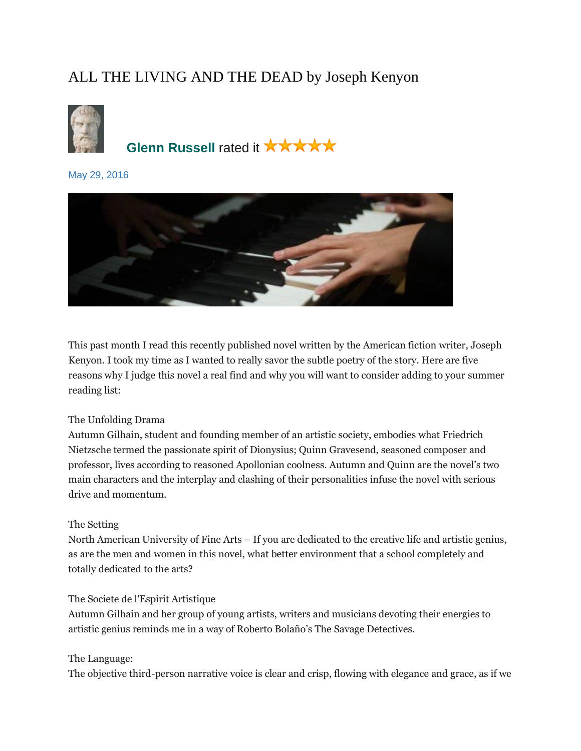# ALL THE LIVING AND THE DEAD by Joseph Kenyon



**[Glenn Russell](https://www.goodreads.com/user/show/23385697-glenn-russell) rated it ★★★★★** 

[May 29, 2016](https://www.goodreads.com/review/show/1652560181?book_show_action=false) 



This past month I read this recently published novel written by the American fiction writer, Joseph Kenyon. I took my time as I wanted to really savor the subtle poetry of the story. Here are five reasons why I judge this novel a real find and why you will want to consider adding to your summer reading list:

# The Unfolding Drama

Autumn Gilhain, student and founding member of an artistic society, embodies what Friedrich Nietzsche termed the passionate spirit of Dionysius; Quinn Gravesend, seasoned composer and professor, lives according to reasoned Apollonian coolness. Autumn and Quinn are the novel's two main characters and the interplay and clashing of their personalities infuse the novel with serious drive and momentum.

# The Setting

North American University of Fine Arts – If you are dedicated to the creative life and artistic genius, as are the men and women in this novel, what better environment that a school completely and totally dedicated to the arts?

### The Societe de l'Espirit Artistique

Autumn Gilhain and her group of young artists, writers and musicians devoting their energies to artistic genius reminds me in a way of Roberto Bolaño's The Savage Detectives.

### The Language:

The objective third-person narrative voice is clear and crisp, flowing with elegance and grace, as if we